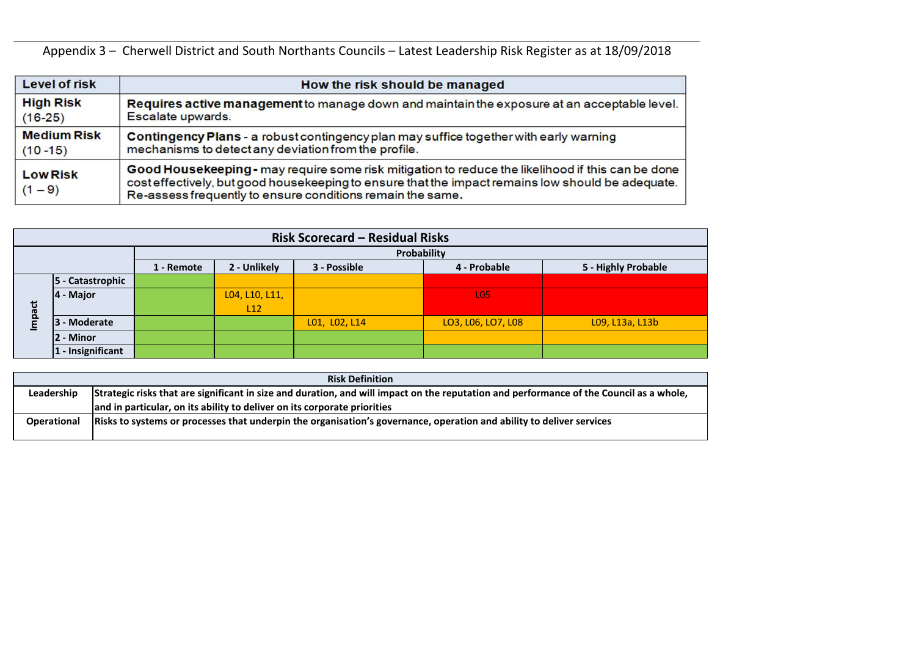Appendix 3 – Cherwell District and South Northants Councils – Latest Leadership Risk Register as at 18/09/2018

| <b>Level of risk</b>         | How the risk should be managed                                                                                                                                                                                                                                       |
|------------------------------|----------------------------------------------------------------------------------------------------------------------------------------------------------------------------------------------------------------------------------------------------------------------|
| <b>High Risk</b>             | Requires active management to manage down and maintain the exposure at an acceptable level.                                                                                                                                                                          |
| $(16-25)$                    | Escalate upwards.                                                                                                                                                                                                                                                    |
| <b>Medium Risk</b>           | Contingency Plans - a robust contingency plan may suffice together with early warning                                                                                                                                                                                |
| $(10 - 15)$                  | mechanisms to detect any deviation from the profile.                                                                                                                                                                                                                 |
| <b>Low Risk</b><br>$(1 - 9)$ | Good Housekeeping - may require some risk mitigation to reduce the likelihood if this can be done<br>cost effectively, but good housekeeping to ensure that the impact remains low should be adequate.<br>Re-assess frequently to ensure conditions remain the same. |

|                    | <b>Risk Scorecard - Residual Risks</b> |             |                |               |                    |                     |  |  |  |  |  |  |  |  |  |  |
|--------------------|----------------------------------------|-------------|----------------|---------------|--------------------|---------------------|--|--|--|--|--|--|--|--|--|--|
|                    |                                        | Probability |                |               |                    |                     |  |  |  |  |  |  |  |  |  |  |
|                    |                                        | 1 - Remote  | 2 - Unlikely   | 3 - Possible  | 4 - Probable       | 5 - Highly Probable |  |  |  |  |  |  |  |  |  |  |
|                    | 5 - Catastrophic                       |             |                |               |                    |                     |  |  |  |  |  |  |  |  |  |  |
|                    | $ 4 -$ Major                           |             | L04, L10, L11, |               | <b>LO5</b>         |                     |  |  |  |  |  |  |  |  |  |  |
| pact               |                                        |             | L12            |               |                    |                     |  |  |  |  |  |  |  |  |  |  |
| $\bar{\mathsf{s}}$ | <b>- Moderate</b><br>13                |             |                | L01, L02, L14 | LO3, L06, LO7, L08 | L09, L13a, L13b     |  |  |  |  |  |  |  |  |  |  |
|                    | - Minor                                |             |                |               |                    |                     |  |  |  |  |  |  |  |  |  |  |
|                    | 1 - Insignificant                      |             |                |               |                    |                     |  |  |  |  |  |  |  |  |  |  |

|                    | <b>Risk Definition</b>                                                                                                                  |
|--------------------|-----------------------------------------------------------------------------------------------------------------------------------------|
| Leadership         | Strategic risks that are significant in size and duration, and will impact on the reputation and performance of the Council as a whole, |
|                    | and in particular, on its ability to deliver on its corporate priorities                                                                |
| <b>Operational</b> | Risks to systems or processes that underpin the organisation's governance, operation and ability to deliver services                    |
|                    |                                                                                                                                         |

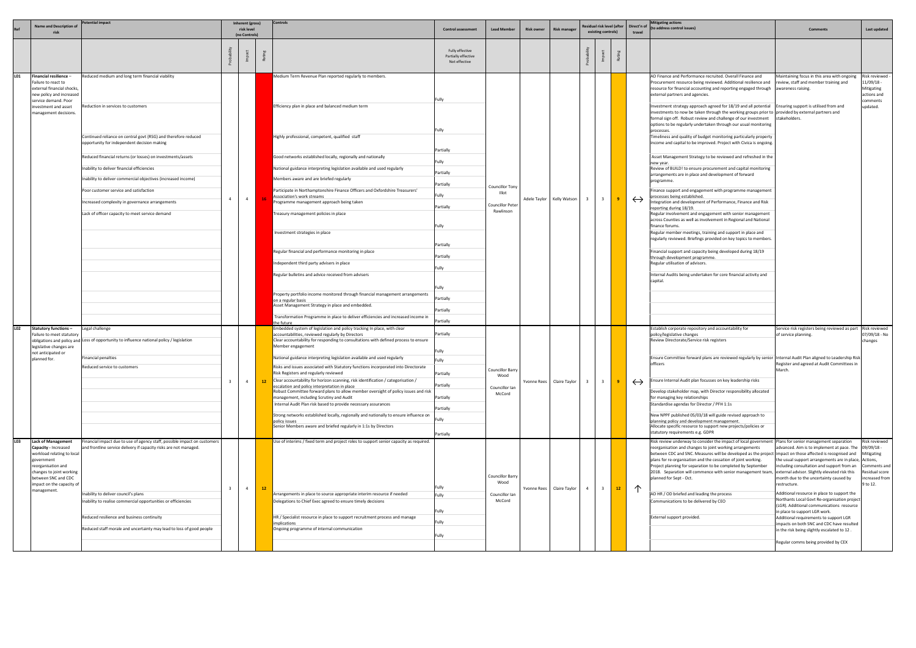|     | <b>Name and Description of</b>                                                                                                            | tential impact                                                                                                |                         | Inherent (gross)<br>risk level<br>(no Controls) |                                                     | Controls                                                                                                                              | <b>Control assessment</b>                               | <b>Lead Member</b>              | <b>Risk owner</b>           | <b>Risk manager</b>       | Residual risk level (after<br>existing controls) |                                                            | Direct'n of<br>travel                                           | <b>Mitigating actions</b><br>(to address control issues)                                                                                                                                                                                                                                                                                                                                                                                       | <b>Comments</b>                                                                                                                                                                                        | Last updated                                                          |
|-----|-------------------------------------------------------------------------------------------------------------------------------------------|---------------------------------------------------------------------------------------------------------------|-------------------------|-------------------------------------------------|-----------------------------------------------------|---------------------------------------------------------------------------------------------------------------------------------------|---------------------------------------------------------|---------------------------------|-----------------------------|---------------------------|--------------------------------------------------|------------------------------------------------------------|-----------------------------------------------------------------|------------------------------------------------------------------------------------------------------------------------------------------------------------------------------------------------------------------------------------------------------------------------------------------------------------------------------------------------------------------------------------------------------------------------------------------------|--------------------------------------------------------------------------------------------------------------------------------------------------------------------------------------------------------|-----------------------------------------------------------------------|
|     |                                                                                                                                           |                                                                                                               |                         |                                                 |                                                     |                                                                                                                                       | Fully effective<br>Partially effective<br>Not effective |                                 |                             |                           |                                                  |                                                            |                                                                 |                                                                                                                                                                                                                                                                                                                                                                                                                                                |                                                                                                                                                                                                        |                                                                       |
| L01 | Financial resilience-<br>Failure to react to<br>external financial shocks,<br>new policy and increased<br>service demand. Poor            | Reduced medium and long term financial viability                                                              |                         |                                                 |                                                     | Medium Term Revenue Plan reported regularly to members.                                                                               | Fully                                                   |                                 |                             |                           |                                                  |                                                            |                                                                 | AD Finance and Performance recruited. Overall Finance and<br>Procurement resource being reviewed. Additional resilience and<br>resource for financial accounting and reporting engaged through awareness raising.<br>external partners and agencies.                                                                                                                                                                                           | Maintaining focus in this area with ongoing<br>review, staff and member training and                                                                                                                   | Risk reviewed -<br>1/09/18 -<br>Mitigating<br>actions and<br>:omments |
|     | investment and asset<br>management decisions.                                                                                             | eduction in services to customers!                                                                            |                         |                                                 |                                                     | Efficiency plan in place and balanced medium term                                                                                     | Fully                                                   |                                 |                             |                           |                                                  |                                                            |                                                                 | Investment strategy approach agreed for 18/19 and all potential IEnsuring support is utilised from and<br>investments to now be taken through the working groups prior to provided by external partners and<br>formal sign off. Robust review and challenge of our investment<br>options to be regularly undertaken through our usual monitoring<br>processes.                                                                                 | stakeholders.                                                                                                                                                                                          | updated.                                                              |
|     |                                                                                                                                           | Continued reliance on central govt (RSG) and therefore reduced<br>opportunity for independent decision making |                         |                                                 |                                                     | Highly professional, competent, qualified staff                                                                                       | Partially                                               |                                 |                             |                           |                                                  |                                                            |                                                                 | Timeliness and quality of budget monitoring particularly property<br>income and capital to be improved. Project with Civica is ongoing.                                                                                                                                                                                                                                                                                                        |                                                                                                                                                                                                        |                                                                       |
|     |                                                                                                                                           | Reduced financial returns (or losses) on investments/assets                                                   |                         |                                                 |                                                     | Good networks established locally, regionally and nationally                                                                          | Fully                                                   |                                 |                             |                           |                                                  |                                                            |                                                                 | Asset Management Strategy to be reviewed and refreshed in the                                                                                                                                                                                                                                                                                                                                                                                  |                                                                                                                                                                                                        |                                                                       |
|     |                                                                                                                                           | Inability to deliver financial efficiencies                                                                   |                         |                                                 |                                                     | National guidance interpreting legislation available and used regularly                                                               | Partially                                               |                                 |                             |                           |                                                  |                                                            |                                                                 | new year.<br>Review of BUILD! to ensure procurement and capital monitoring                                                                                                                                                                                                                                                                                                                                                                     |                                                                                                                                                                                                        |                                                                       |
|     |                                                                                                                                           | nability to deliver commercial objectives (increased income)                                                  |                         |                                                 |                                                     | Members aware and are briefed regularly                                                                                               | Partially                                               |                                 |                             |                           |                                                  |                                                            |                                                                 | arrangements are in place and development of forward<br>programme.                                                                                                                                                                                                                                                                                                                                                                             |                                                                                                                                                                                                        |                                                                       |
|     |                                                                                                                                           | Poor customer service and satisfaction                                                                        |                         |                                                 |                                                     | Participate in Northamptonshire Finance Officers and Oxfordshire Treasurers'<br>Association's work streams                            | Fully                                                   | <b>Councillor Tony</b><br>Illot |                             |                           |                                                  |                                                            |                                                                 | inance support and engagement with programme management<br>processes being established.                                                                                                                                                                                                                                                                                                                                                        |                                                                                                                                                                                                        |                                                                       |
|     |                                                                                                                                           | ncreased complexity in governance arrangements                                                                | $\overline{4}$          | $\overline{4}$                                  |                                                     | Programme management approach being taken                                                                                             | Partially                                               | <b>Councillor Peter</b>         |                             | Adele Taylor Kelly Watson | - 3                                              |                                                            | $\leftrightarrow$                                               | Integration and development of Performance, Finance and Risk<br>eporting during 18/19.                                                                                                                                                                                                                                                                                                                                                         |                                                                                                                                                                                                        |                                                                       |
|     |                                                                                                                                           | Lack of officer capacity to meet service demand                                                               |                         |                                                 |                                                     | Treasury management policies in place                                                                                                 |                                                         | Rawlinson                       |                             |                           |                                                  |                                                            |                                                                 | Regular involvement and engagement with senior management<br>across Counties as well as involvement in Regional and National                                                                                                                                                                                                                                                                                                                   |                                                                                                                                                                                                        |                                                                       |
|     |                                                                                                                                           |                                                                                                               |                         |                                                 |                                                     |                                                                                                                                       | Fully                                                   |                                 |                             |                           |                                                  |                                                            |                                                                 | finance forums.                                                                                                                                                                                                                                                                                                                                                                                                                                |                                                                                                                                                                                                        |                                                                       |
|     |                                                                                                                                           |                                                                                                               |                         |                                                 |                                                     | Investment strategies in place                                                                                                        |                                                         |                                 |                             |                           |                                                  |                                                            |                                                                 | Regular member meetings, training and support in place and<br>regularly reviewed. Briefings provided on key topics to members.                                                                                                                                                                                                                                                                                                                 |                                                                                                                                                                                                        |                                                                       |
|     |                                                                                                                                           |                                                                                                               |                         |                                                 |                                                     | Regular financial and performance monitoring in place                                                                                 | Partially                                               |                                 |                             |                           |                                                  | inancial support and capacity being developed during 18/19 |                                                                 |                                                                                                                                                                                                                                                                                                                                                                                                                                                |                                                                                                                                                                                                        |                                                                       |
|     |                                                                                                                                           |                                                                                                               |                         |                                                 |                                                     | Independent third party advisers in place                                                                                             | Partially<br>Fully                                      |                                 |                             |                           |                                                  |                                                            |                                                                 | through development programme.<br>Regular utilisation of advisors.                                                                                                                                                                                                                                                                                                                                                                             |                                                                                                                                                                                                        |                                                                       |
|     |                                                                                                                                           |                                                                                                               |                         |                                                 | Regular bulletins and advice received from advisers |                                                                                                                                       |                                                         |                                 |                             |                           |                                                  |                                                            | nternal Audits being undertaken for core financial activity and |                                                                                                                                                                                                                                                                                                                                                                                                                                                |                                                                                                                                                                                                        |                                                                       |
|     |                                                                                                                                           |                                                                                                               |                         |                                                 |                                                     |                                                                                                                                       | Fully                                                   |                                 |                             |                           |                                                  |                                                            |                                                                 | capital.                                                                                                                                                                                                                                                                                                                                                                                                                                       |                                                                                                                                                                                                        |                                                                       |
|     |                                                                                                                                           |                                                                                                               |                         |                                                 |                                                     | Property portfolio income monitored through financial management arrangements<br>on a regular basis                                   | Partially                                               |                                 |                             |                           |                                                  |                                                            |                                                                 |                                                                                                                                                                                                                                                                                                                                                                                                                                                |                                                                                                                                                                                                        |                                                                       |
|     |                                                                                                                                           |                                                                                                               |                         |                                                 |                                                     | Asset Management Strategy in place and embedded.                                                                                      | Partially                                               |                                 |                             |                           |                                                  |                                                            |                                                                 |                                                                                                                                                                                                                                                                                                                                                                                                                                                |                                                                                                                                                                                                        |                                                                       |
|     |                                                                                                                                           |                                                                                                               |                         |                                                 |                                                     | Fransformation Programme in place to deliver efficiencies and increased income in<br>the future                                       | Partially                                               |                                 |                             |                           |                                                  |                                                            |                                                                 |                                                                                                                                                                                                                                                                                                                                                                                                                                                |                                                                                                                                                                                                        |                                                                       |
| L02 | <b>Statutory functions -</b><br>Failure to meet statutory                                                                                 | Legal challenge                                                                                               |                         |                                                 |                                                     | Embedded system of legislation and policy tracking In place, with clear<br>accountabilities, reviewed regularly by Directors          | Partially                                               |                                 |                             |                           |                                                  |                                                            |                                                                 | Establish corporate repository and accountability for<br>policy/legislative changes                                                                                                                                                                                                                                                                                                                                                            | Service risk registers being reviewed as part Risk reviewed<br>of service planning.                                                                                                                    | 07/09/18 - No                                                         |
|     | legislative changes are                                                                                                                   | obligations and policy and Loss of opportunity to influence national policy / legislation                     |                         |                                                 |                                                     | Clear accountability for responding to consultations with defined process to ensure<br>Member engagement                              |                                                         |                                 |                             |                           |                                                  |                                                            |                                                                 | Review Directorate/Service risk registers                                                                                                                                                                                                                                                                                                                                                                                                      |                                                                                                                                                                                                        | changes                                                               |
|     | not anticipated or<br>planned for.                                                                                                        | Financial penalties                                                                                           |                         |                                                 |                                                     | National guidance interpreting legislation available and used regularly                                                               | Fully<br>Fully                                          |                                 |                             |                           |                                                  |                                                            |                                                                 | Ensure Committee forward plans are reviewed regularly by senior Internal Audit Plan aligned to Leadership Risk                                                                                                                                                                                                                                                                                                                                 |                                                                                                                                                                                                        |                                                                       |
|     |                                                                                                                                           | Reduced service to customers                                                                                  |                         |                                                 |                                                     | Risks and issues associated with Statutory functions incorporated into Directorate<br>Risk Registers and regularly reviewed           | Partially                                               | <b>Councillor Barry</b>         |                             |                           |                                                  |                                                            |                                                                 | ncers                                                                                                                                                                                                                                                                                                                                                                                                                                          | Register and agreed at Audit Committees in<br>March.                                                                                                                                                   |                                                                       |
|     |                                                                                                                                           |                                                                                                               | $\overline{\mathbf{3}}$ | $\overline{4}$                                  | 12                                                  | Clear accountability for horizon scanning, risk identification / categorisation /                                                     | Partially                                               | Wood                            |                             | Yvonne Rees Claire Taylor |                                                  | $\overline{3}$<br>$\mathbf{q}$                             | $\leftrightarrow$                                               | Ensure Internal Audit plan focusses on key leadership risks                                                                                                                                                                                                                                                                                                                                                                                    |                                                                                                                                                                                                        |                                                                       |
|     |                                                                                                                                           |                                                                                                               |                         |                                                 |                                                     | escalation and policy interpretation in place<br>Robust Committee forward plans to allow member oversight of policy issues and risk   | Partially                                               | Councillor Ian<br>McCord        |                             |                           |                                                  |                                                            |                                                                 | Develop stakeholder map, with Director responsibility allocated                                                                                                                                                                                                                                                                                                                                                                                |                                                                                                                                                                                                        |                                                                       |
|     |                                                                                                                                           |                                                                                                               |                         |                                                 |                                                     | management, including Scrutiny and Audit<br>Internal Audit Plan risk based to provide necessary assurances                            | Partially                                               |                                 |                             |                           |                                                  |                                                            |                                                                 | for managing key relationships<br>Standardise agendas for Director / PFH 1:1s                                                                                                                                                                                                                                                                                                                                                                  |                                                                                                                                                                                                        |                                                                       |
|     |                                                                                                                                           |                                                                                                               |                         |                                                 |                                                     | Strong networks established locally, regionally and nationally to ensure influence on                                                 | Fully                                                   |                                 |                             |                           |                                                  |                                                            |                                                                 | New NPPF published 05/03/18 will guide revised approach to                                                                                                                                                                                                                                                                                                                                                                                     |                                                                                                                                                                                                        |                                                                       |
|     |                                                                                                                                           |                                                                                                               |                         |                                                 |                                                     | policy issues<br>Senior Members aware and briefed regularly in 1:1s by Directors                                                      |                                                         |                                 |                             |                           |                                                  |                                                            |                                                                 | planning policy and development management.<br>Allocate specific resource to support new projects/policies or<br>statutory requirements e.g. GDPR                                                                                                                                                                                                                                                                                              |                                                                                                                                                                                                        |                                                                       |
| L03 | <b>Lack of Management</b>                                                                                                                 | inancial impact due to use of agency staff, possible impact on customers                                      |                         |                                                 |                                                     | Use of interims / fixed term and project roles to support senior capacity as required.                                                | Partially                                               |                                 |                             |                           |                                                  |                                                            |                                                                 | Risk review underway to consider the impact of local government Plans for senior management separation                                                                                                                                                                                                                                                                                                                                         |                                                                                                                                                                                                        | Risk reviewed                                                         |
|     | Capacity - Increased<br>workload relating to local<br>government<br>reorganisation and<br>changes to joint working<br>between SNC and CDC | nd frontline service delivery if capacity risks are not managed.                                              |                         |                                                 |                                                     |                                                                                                                                       |                                                         | <b>Councillor Barry</b>         |                             |                           |                                                  |                                                            |                                                                 | reorganisation and changes to joint working arrangements<br>between CDC and SNC. Measures will be developed as the project impact on those affected is recognised and<br>plans for re-organisation and the cessation of joint working.<br>Project planning for separation to be completed by September<br>2018. Separation will commence with senior management team, external advisor. Slightly elevated risk this<br>planned for Sept - Oct. | advanced. Aim is to implement at pace. The 09/09/18 -<br>the usual support arrangements are in place, Actions,<br>including consultation and support from an<br>month due to the uncertainty caused by | Mitigating<br>Comments and<br>Residual score<br>ncreased from         |
|     | impact on the capacity of<br>management.                                                                                                  |                                                                                                               | $\overline{3}$          | $\overline{4}$                                  | 12                                                  |                                                                                                                                       | Fully                                                   | Wood                            | Yvonne Rees   Claire Taylor |                           | $\overline{3}$<br>4                              | 12 <sub>2</sub>                                            | $\uparrow$                                                      |                                                                                                                                                                                                                                                                                                                                                                                                                                                | restructure.                                                                                                                                                                                           | 9 to 12.                                                              |
|     |                                                                                                                                           | nability to deliver council's plans<br>nability to realise commercial opportunities or efficiencies           |                         |                                                 |                                                     | Arrangements in place to source appropriate interim resource if needed<br>Delegations to Chief Exec agreed to ensure timely decisions | Fully                                                   | Councillor Ian<br>McCord        |                             |                           |                                                  |                                                            |                                                                 | AD HR / OD briefed and leading the process<br>Communications to be delivered by CEO                                                                                                                                                                                                                                                                                                                                                            | Additional resource in place to support the<br>Northants Local Govt Re-organisation project                                                                                                            |                                                                       |
|     |                                                                                                                                           |                                                                                                               |                         |                                                 |                                                     |                                                                                                                                       | Fully                                                   |                                 |                             |                           |                                                  |                                                            |                                                                 |                                                                                                                                                                                                                                                                                                                                                                                                                                                | (LGR). Additional communications resource<br>in place to support LGR work.                                                                                                                             |                                                                       |
|     |                                                                                                                                           | Reduced resilience and business continuity                                                                    |                         |                                                 |                                                     | HR / Specialist resource in place to support recruitment process and manage<br>implications                                           | Fully                                                   |                                 |                             |                           |                                                  |                                                            |                                                                 | External support provided.                                                                                                                                                                                                                                                                                                                                                                                                                     | Additional requirements to support LGR<br>impacts on both SNC and CDC have resulted                                                                                                                    |                                                                       |
|     |                                                                                                                                           | Reduced staff morale and uncertainty may lead to loss of good people                                          |                         |                                                 |                                                     | Ongoing programme of internal communication                                                                                           | Fully                                                   |                                 |                             |                           |                                                  |                                                            |                                                                 |                                                                                                                                                                                                                                                                                                                                                                                                                                                | in the risk being slightly escalated to 12.                                                                                                                                                            |                                                                       |
|     |                                                                                                                                           |                                                                                                               |                         |                                                 |                                                     |                                                                                                                                       |                                                         |                                 |                             |                           |                                                  |                                                            |                                                                 |                                                                                                                                                                                                                                                                                                                                                                                                                                                | Regular comms being provided by CEX                                                                                                                                                                    |                                                                       |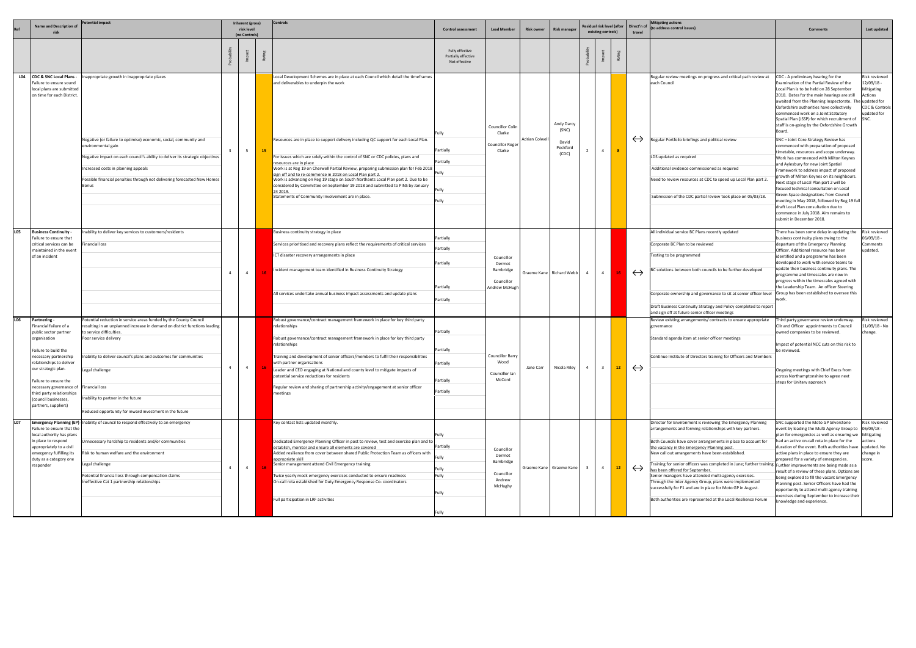|            | <b>Name and Description of</b><br>-risk                                                                                                                                                                                                                                                                                             | tential impact                                                                                                                                                                                                                                                                                                                                                                                |                | Inherent (gross)<br>risk level<br>(no Controls) |    | Controls                                                                                                                                                                                                                                                                                                                                                                                                                                                                                                                                                                                                                                                                                                                      | <b>Control assessment</b>                                       | <b>Lead Member</b>                                                   | <b>Risk owner</b> | <b>Risk manager</b>                               |                | Residual risk level (after<br>existing controls)<br>travel |                   | Mitigating actions<br>Direct'n of (to address control issues)                                                                                                                                                                                                                                                                                                                                                                                                                                                                                                                                                                                                                                        | <b>Comments</b>                                                                                                                                                                                                                                                                                                                                                                                                                                                                                                                                                                                                                                                                                                                                                                                                                                                                                                                                                                                                                      | Last updated                                                                                  |
|------------|-------------------------------------------------------------------------------------------------------------------------------------------------------------------------------------------------------------------------------------------------------------------------------------------------------------------------------------|-----------------------------------------------------------------------------------------------------------------------------------------------------------------------------------------------------------------------------------------------------------------------------------------------------------------------------------------------------------------------------------------------|----------------|-------------------------------------------------|----|-------------------------------------------------------------------------------------------------------------------------------------------------------------------------------------------------------------------------------------------------------------------------------------------------------------------------------------------------------------------------------------------------------------------------------------------------------------------------------------------------------------------------------------------------------------------------------------------------------------------------------------------------------------------------------------------------------------------------------|-----------------------------------------------------------------|----------------------------------------------------------------------|-------------------|---------------------------------------------------|----------------|------------------------------------------------------------|-------------------|------------------------------------------------------------------------------------------------------------------------------------------------------------------------------------------------------------------------------------------------------------------------------------------------------------------------------------------------------------------------------------------------------------------------------------------------------------------------------------------------------------------------------------------------------------------------------------------------------------------------------------------------------------------------------------------------------|--------------------------------------------------------------------------------------------------------------------------------------------------------------------------------------------------------------------------------------------------------------------------------------------------------------------------------------------------------------------------------------------------------------------------------------------------------------------------------------------------------------------------------------------------------------------------------------------------------------------------------------------------------------------------------------------------------------------------------------------------------------------------------------------------------------------------------------------------------------------------------------------------------------------------------------------------------------------------------------------------------------------------------------|-----------------------------------------------------------------------------------------------|
|            |                                                                                                                                                                                                                                                                                                                                     |                                                                                                                                                                                                                                                                                                                                                                                               |                |                                                 |    |                                                                                                                                                                                                                                                                                                                                                                                                                                                                                                                                                                                                                                                                                                                               | Fully effective<br>Partially effective<br>Not effective         |                                                                      |                   |                                                   |                |                                                            |                   |                                                                                                                                                                                                                                                                                                                                                                                                                                                                                                                                                                                                                                                                                                      |                                                                                                                                                                                                                                                                                                                                                                                                                                                                                                                                                                                                                                                                                                                                                                                                                                                                                                                                                                                                                                      |                                                                                               |
|            | L04 CDC & SNC Local Plans -<br>Failure to ensure sound<br>local plans are submitted<br>on time for each District.                                                                                                                                                                                                                   | Inappropriate growth in inappropriate places<br>Negative (or failure to optimise) economic, social, community and<br>environmental gain<br>Negative impact on each council's ability to deliver its strategic objectives<br>Increased costs in planning appeals<br>Possible financial penalties through not delivering forecasted New Homes<br>Bonus                                          |                | $5\overline{5}$                                 | 15 | Local Development Schemes are in place at each Council which detail the timeframes<br>and deliverables to underpin the work<br>Resources are in place to support delivery including QC support for each Local Plan.<br>For issues which are solely within the control of SNC or CDC policies, plans and<br>resources are in place<br>Work is at Reg 19 on Cherwell Partial Review, preparing submission plan for Feb 2018<br>sign off and to re-commence in 2018 on Local Plan part 2.<br>Work is advancing on Reg 19 stage on South Northants Local Plan part 2. Due to be<br>considered by Committee on September 19 2018 and submitted to PINS by January<br>24 2019.<br>Statements of Community Involvement are in place. | l Fully<br>Partially<br>Partially<br>Fully<br>l Full\           | Councillor Colin<br>Clarke<br>Councillor Roge<br>Clarke              | Adrian Colwel     | Andy Darcy<br>(SNC)<br>David<br>Peckford<br>(CDC) | $\sim$ 4       | 8 <sup>2</sup>                                             | $\leftrightarrow$ | Regular review meetings on progress and critical path review at<br>each Council<br>Regular Portfolio briefings and political review<br>LDS updated as required<br>Additional evidence commissioned as required<br>Need to review resources at CDC to speed up Local Plan part 2.<br>Submission of the CDC partial review took place on 05/03/18.                                                                                                                                                                                                                                                                                                                                                     | CDC - A preliminary hearing for the<br>Examination of the Partial Review of the<br>Local Plan is to be held on 28 September<br>2018. Dates for the main hearings are still<br>awaited from the Planning Inspectorate. The updated for<br>Oxfordshire authorities have collectively<br>commenced work on a Joint Statutory<br>Spatial Plan (JSSP) for which recruitment of<br>staff is on-going by the Oxfordshire Growth<br>Board.<br>SNC - Joint Core Strategy Review has<br>commenced with preparation of proposed<br>timetable, resources and scope underway.<br>Work has commenced with Milton Keynes<br>and Aylesbury for new Joint Spatial<br>Framework to address impact of proposed<br>growth of Milton Keynes on its neighbours.<br>Next stage of Local Plan part 2 will be<br>focused technical consultation on Local<br>Green Space designations from Council<br>meeting in May 2018, followed by Reg 19 ful<br>draft Local Plan consultation due to<br>commence in July 2018. Aim remains to<br>submit in December 2018. | Risk reviewed<br>- 12/09/18<br>Mitigating<br>Actions<br>CDC & Controls<br>updated for<br>SNC. |
| <b>LO5</b> | <b>Business Continuity</b><br>Failure to ensure that<br>critical services can be<br>maintained in the event<br>of an incident                                                                                                                                                                                                       | Inability to deliver key services to customers/residents<br>inancial loss                                                                                                                                                                                                                                                                                                                     |                | $\overline{4}$                                  |    | Business continuity strategy in place<br>Services prioritised and recovery plans reflect the requirements of critical services<br>ICT disaster recovery arrangements in place<br>Incident management team identified in Business Continuity Strategy<br>All services undertake annual business impact assessments and update plans                                                                                                                                                                                                                                                                                                                                                                                            | Partially<br>Partially<br>Partially<br>Partially<br>Partially   | Councillor<br>Dermot<br>Bambridge<br>Councillor<br>Andrew McHugh     |                   | Graeme Kane Richard Webb                          | $\overline{4}$ |                                                            | $\leftrightarrow$ | All individual service BC Plans recently updated<br>Corporate BC Plan to be reviewed<br>Festing to be programmed<br>C solutions between both councils to be further developed<br>Corporate ownership and governance to sit at senior officer level  Group has been established to oversee this<br>Draft Business Continuity Strategy and Policy completed to report<br>and sign off at future senior officer meetings                                                                                                                                                                                                                                                                                | There has been some delay in updating the<br>business continuity plans owing to the<br>departure of the Emergency Planning<br>Officer. Additional resource has been<br>identified and a programme has been<br>developed to work with service teams to<br>update their business continuity plans. The<br>programme and timescales are now in<br>progress within the timescales agreed with<br>the Leadership Team. An officer Steering<br>work.                                                                                                                                                                                                                                                                                                                                                                                                                                                                                                                                                                                       | Risk reviewed<br>06/09/18 -<br>Comments<br>updated.                                           |
| L06        | Partnering -<br>Financial failure of a<br>public sector partner<br>organisation<br>Failure to build the<br>necessary partnership<br>relationships to deliver<br>our strategic plan.<br>Failure to ensure the<br>necessary governance of Financial loss<br>third party relationships<br>(council businesses,<br>partners, suppliers) | Potential reduction in service areas funded by the County Council<br>resulting in an unplanned increase in demand on district functions leading<br>to service difficulties.<br>Poor service delivery<br>Inability to deliver council's plans and outcomes for communities<br>Legal challenge<br>Inability to partner in the future<br>Reduced opportunity for inward investment in the future | $\overline{a}$ | $\overline{4}$                                  |    | Robust governance/contract management framework in place for key third party<br>relationships<br>Robust governance/contract management framework in place for key third party<br>relationships<br>Training and development of senior officers/members to fulfil their responsibilities<br>with partner organisations<br>Leader and CEO engaging at National and county level to mitigate impacts of<br>potential service reductions for residents<br>Regular review and sharing of partnership activity/engagement at senior officer<br>meetings                                                                                                                                                                              | Partially<br>Partially<br>Partially<br>Partially<br>Partially   | Councillor Barry<br>Wood<br>Councillor Ian<br>McCord                 | Jane Carr         | Nicola Riley 4 3 12                               |                |                                                            | $\leftrightarrow$ | Review existing arrangements/ contracts to ensure appropriate<br>governance<br>Standard agenda item at senior officer meetings<br>Continue Institute of Directors training for Officers and Members                                                                                                                                                                                                                                                                                                                                                                                                                                                                                                  | Third party governance review underway.<br>Cllr and Officer appointments to Council<br>owned companies to be reviewed.<br>Impact of potential NCC cuts on this risk to<br>be reviewed<br>Ongoing meetings with Chief Execs from<br>across Northamptonshire to agree next<br>steps for Unitary approach                                                                                                                                                                                                                                                                                                                                                                                                                                                                                                                                                                                                                                                                                                                               | Risk reviewed<br>l1/09/18 - No<br>change.                                                     |
| L07        | Failure to ensure that the<br>local authority has plans<br>in place to respond<br>appropriately to a civil<br>emergency fulfilling its<br>duty as a category one<br>responder                                                                                                                                                       | Emergency Planning (EP) Inability of council to respond effectively to an emergency<br>Unnecessary hardship to residents and/or communities<br>Risk to human welfare and the environment<br>Legal challenge<br>Potential financial loss through compensation claims<br>Ineffective Cat 1 partnership relationships                                                                            | $\overline{a}$ | $\overline{4}$                                  |    | Key contact lists updated monthly.<br>Dedicated Emergency Planning Officer in post to review, test and exercise plan and to<br>establish, monitor and ensure all elements are covered<br>Added resilience from cover between shared Public Protection Team as officers with<br>appropriate skill<br>Senior management attend Civil Emergency training<br>wice yearly mock emergency exercises conducted to ensure readiness<br>On-call rota established for Duty Emergency Response Co- coordinators<br>Full participation in LRF activities                                                                                                                                                                                  | Fully<br>Partially<br>Fully<br>Fully<br>Fully<br>Fully<br>Fully | Councillor<br>Dermot<br>Bambridge<br>Councillor<br>Andrew<br>McHughy |                   | Graeme Kane Graeme Kane                           | $\overline{4}$ | 12 <sup>2</sup>                                            | $\leftrightarrow$ | Director for Environment is reviewing the Emergency Planning<br>arrangements and forming relationships with key partners.<br>Both Councils have cover arrangements in place to account for<br>the vacancy in the Emergency Planning post.<br>New call out arrangements have been established.<br>raining for senior officers was completed in June; further training Further improvements are being made as a<br>has been offered for September.<br>Senior managers have attended multi-agency exercises.<br>Through the Inter Agency Group, plans were implemented<br>successfully for F1 and are in place for Moto GP in August.<br>Both authorities are represented at the Local Resilience Forum | SNC supported the Moto GP Silverstone<br>event by leading the Multi Agency Group to<br>plan for emergencies as well as ensuring we Mitigating<br>had an active on-call rota in place for the<br>duration of the event. Both authorities have updated. No<br>active plans in place to ensure they are<br>prepared for a variety of emergencies.<br>result of a review of these plans. Options are<br>being explored to fill the vacant Emergency<br>Planning post. Senior Officers have had the<br>opportunity to attend multi agency training<br>exercises during September to increase their<br>knowledge and experience.                                                                                                                                                                                                                                                                                                                                                                                                           | Risk reviewed<br>$06/09/18 -$<br>actions<br>change in<br>core.                                |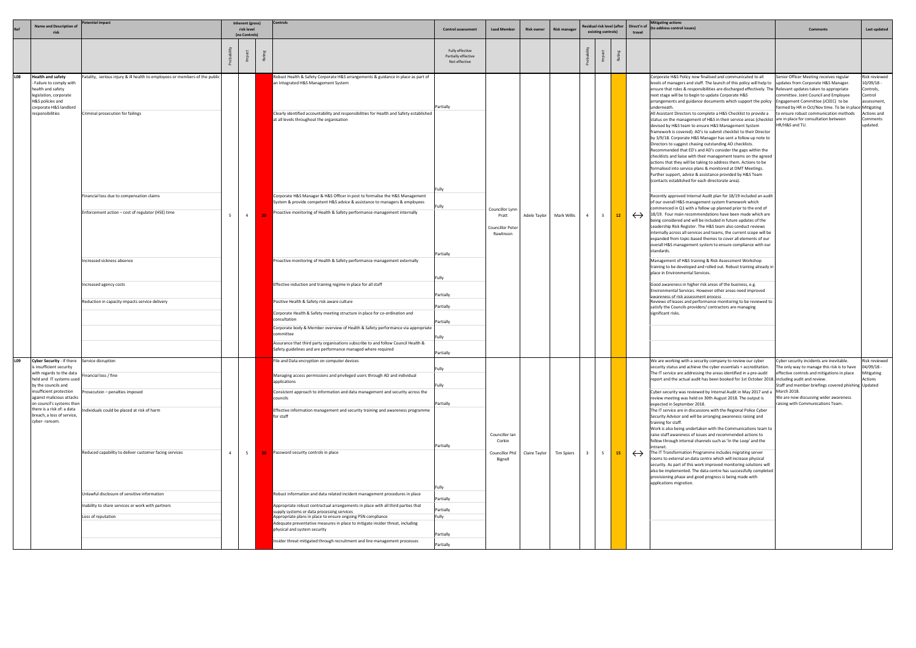|            | <b>Name and Description of</b>                                                                                                                                      | tential impact                                                                                                                                                                                                     |                                                             | Inherent (gross)            | Controls                                                                                                                                                                                                                                                                                                                                                                                                                                                                                                   |                                                         |                                      |                   |                     | Residual risk level (after |                    |                                                                                                                                                                                                                                                                                                                                                                                                                                        |                   | <b>Mitigating actions</b>                                                                                                                                                                                                                                                                                                                                                                                                                                                                                                                                                                                                                                                                                                                                                                                                                                                                                                                                                                                                                                                                                                                                                                                                                                                                                                                                                                                                                                                                                                                             |                                                                                                                                                                                                         |                                                                                                         |
|------------|---------------------------------------------------------------------------------------------------------------------------------------------------------------------|--------------------------------------------------------------------------------------------------------------------------------------------------------------------------------------------------------------------|-------------------------------------------------------------|-----------------------------|------------------------------------------------------------------------------------------------------------------------------------------------------------------------------------------------------------------------------------------------------------------------------------------------------------------------------------------------------------------------------------------------------------------------------------------------------------------------------------------------------------|---------------------------------------------------------|--------------------------------------|-------------------|---------------------|----------------------------|--------------------|----------------------------------------------------------------------------------------------------------------------------------------------------------------------------------------------------------------------------------------------------------------------------------------------------------------------------------------------------------------------------------------------------------------------------------------|-------------------|-------------------------------------------------------------------------------------------------------------------------------------------------------------------------------------------------------------------------------------------------------------------------------------------------------------------------------------------------------------------------------------------------------------------------------------------------------------------------------------------------------------------------------------------------------------------------------------------------------------------------------------------------------------------------------------------------------------------------------------------------------------------------------------------------------------------------------------------------------------------------------------------------------------------------------------------------------------------------------------------------------------------------------------------------------------------------------------------------------------------------------------------------------------------------------------------------------------------------------------------------------------------------------------------------------------------------------------------------------------------------------------------------------------------------------------------------------------------------------------------------------------------------------------------------------|---------------------------------------------------------------------------------------------------------------------------------------------------------------------------------------------------------|---------------------------------------------------------------------------------------------------------|
|            |                                                                                                                                                                     |                                                                                                                                                                                                                    |                                                             | risk level<br>(no Controls) |                                                                                                                                                                                                                                                                                                                                                                                                                                                                                                            | <b>Control assessment</b>                               | <b>Lead Member</b>                   | <b>Risk owner</b> | <b>Risk manager</b> |                            | existing controls) |                                                                                                                                                                                                                                                                                                                                                                                                                                        | travel            | Direct'n of (to address control issues)                                                                                                                                                                                                                                                                                                                                                                                                                                                                                                                                                                                                                                                                                                                                                                                                                                                                                                                                                                                                                                                                                                                                                                                                                                                                                                                                                                                                                                                                                                               | <b>Comments</b>                                                                                                                                                                                         | Last updated                                                                                            |
|            |                                                                                                                                                                     |                                                                                                                                                                                                                    |                                                             |                             |                                                                                                                                                                                                                                                                                                                                                                                                                                                                                                            | Fully effective<br>Partially effective<br>Not effective |                                      |                   |                     |                            |                    |                                                                                                                                                                                                                                                                                                                                                                                                                                        |                   |                                                                                                                                                                                                                                                                                                                                                                                                                                                                                                                                                                                                                                                                                                                                                                                                                                                                                                                                                                                                                                                                                                                                                                                                                                                                                                                                                                                                                                                                                                                                                       |                                                                                                                                                                                                         |                                                                                                         |
| <b>LO8</b> | <b>Health and safety</b><br>Failure to comply with<br>health and safety<br>legislation, corporate<br>H&S policies and<br>corporate H&S landlord<br>responsibilities | Fatality, serious injury & ill health to employees or members of the public<br>Criminal prosecution for failings<br>Financial loss due to compensation claims<br>Enforcement action - cost of regulator (HSE) time | - 5                                                         | $\overline{4}$              | Robust Health & Safety Corporate H&S arrangements & guidance in place as part of<br>an Integrated H&S Management System<br>Clearly identified accountability and responsibilities for Health and Safety established<br>at all levels throughout the organisation<br>Corporate H&S Manager & H&S Officer in post to formalise the H&S Management<br>System & provide competent H&S advice & assistance to managers & employees<br>Proactive monitoring of Health & Safety performance management internally | Partially<br>Fully<br>Fully                             | Councillor Lynn<br>Pratt             | Adele Taylor      | Mark Willis         | $\overline{4}$             | $\mathbf{3}$       | 12 <sub>2</sub>                                                                                                                                                                                                                                                                                                                                                                                                                        | $\leftrightarrow$ | Corporate H&S Policy now finalised and communicated to all<br>levels of managers and staff. The launch of this policy will help to updates from Corporate H&S Manager.<br>ensure that roles & responsibilities are discharged effectively. The Relevant updates taken to appropriate<br>next stage will be to begin to update Corporate H&S<br>arrangements and guidance documents which support the policy   Engagement Committee (JCEEC) to be<br>underneath.<br>All Assistant Directors to complete a H&S Checklist to provide a<br>status on the management of H&S in their service areas (checklist are in place for consultation between<br>devised by H&S team to ensure H&S Management System<br>framework is covered). AD's to submit checklist to their Director<br>by 3/9/18. Corporate H&S Manager has sent a follow up note to<br>Directors to suggest chasing outstanding AD checklists.<br>Recommended that ED's and AD's consider the gaps within the<br>checklists and liaise with their management teams on the agreed<br>actions that they will be taking to address them. Actions to be<br>formalised into service plans & monitored at DMT Meetings.<br>Further support, advice & assistance provided by H&S Team<br>(contacts established for each directorate area).<br>Recently approved Internal Audit plan for 18/19 included an audit<br>of our overall H&S management system framework which<br>commenced in Q1 with a follow up planned prior to the end of<br>18/19. Four main recommendations have been made which are | Senior Officer Meeting receives regular<br>committee. Joint Council and Employee<br>formed by HR in Oct/Nov time. To be in place Mitigating<br>to ensure robust communication methods<br>HR/H&S and TU. | kisk reviewed<br>0/09/18 -<br>Controls,<br>Control<br>ssessment,<br>Actions and<br>Comments<br>updated. |
|            |                                                                                                                                                                     | Increased sickness absence                                                                                                                                                                                         |                                                             |                             | Proactive monitoring of Health & Safety performance management externally                                                                                                                                                                                                                                                                                                                                                                                                                                  | Partially<br>Fully                                      | <b>Councillor Peter</b><br>Rawlinson |                   |                     |                            |                    |                                                                                                                                                                                                                                                                                                                                                                                                                                        |                   | being considered and will be included in future updates of the<br>Leadership Risk Register. The H&S team also conduct reviews<br>internally across all services and teams, the current scope will be<br>expanded from topic-based themes to cover all elements of our<br>overall H&S management system to ensure compliance with our<br>standards.<br>Management of H&S training & Risk Assessment Workshop<br>training to be developed and rolled out. Robust training already in  <br>place in Environmental Services.                                                                                                                                                                                                                                                                                                                                                                                                                                                                                                                                                                                                                                                                                                                                                                                                                                                                                                                                                                                                                              |                                                                                                                                                                                                         |                                                                                                         |
|            |                                                                                                                                                                     | Increased agency costs<br>Reduction in capacity impacts service delivery                                                                                                                                           |                                                             |                             | Effective induction and training regime in place for all staff<br>Positive Health & Safety risk aware culture<br>Corporate Health & Safety meeting structure in place for co-ordination and                                                                                                                                                                                                                                                                                                                | Partially<br>Partially                                  |                                      |                   |                     |                            |                    |                                                                                                                                                                                                                                                                                                                                                                                                                                        |                   | Good awareness in higher risk areas of the business, e.g.<br>Environmental Services. However other areas need improved<br>awareness of risk assessment process<br>Reviews of leases and performance monitoring to be reviewed to<br>satisfy the Councils providers/ contractors are managing<br>significant risks.                                                                                                                                                                                                                                                                                                                                                                                                                                                                                                                                                                                                                                                                                                                                                                                                                                                                                                                                                                                                                                                                                                                                                                                                                                    |                                                                                                                                                                                                         |                                                                                                         |
|            |                                                                                                                                                                     |                                                                                                                                                                                                                    |                                                             |                             | consultation<br>Corporate body & Member overview of Health & Safety performance via appropriate<br>committee<br>Assurance that third party organisations subscribe to and follow Council Health &<br>Safety guidelines and are performance managed where required                                                                                                                                                                                                                                          | Partially<br>Fully                                      |                                      |                   |                     |                            |                    |                                                                                                                                                                                                                                                                                                                                                                                                                                        |                   |                                                                                                                                                                                                                                                                                                                                                                                                                                                                                                                                                                                                                                                                                                                                                                                                                                                                                                                                                                                                                                                                                                                                                                                                                                                                                                                                                                                                                                                                                                                                                       |                                                                                                                                                                                                         |                                                                                                         |
|            |                                                                                                                                                                     |                                                                                                                                                                                                                    |                                                             |                             |                                                                                                                                                                                                                                                                                                                                                                                                                                                                                                            | Partially                                               |                                      |                   |                     |                            |                    |                                                                                                                                                                                                                                                                                                                                                                                                                                        |                   |                                                                                                                                                                                                                                                                                                                                                                                                                                                                                                                                                                                                                                                                                                                                                                                                                                                                                                                                                                                                                                                                                                                                                                                                                                                                                                                                                                                                                                                                                                                                                       |                                                                                                                                                                                                         |                                                                                                         |
| L09        | Cyber Security - If there Service disruption<br>is insufficient security<br>with regards to the data<br>held and IT systems used<br>by the councils and             | inancial loss / fine                                                                                                                                                                                               |                                                             |                             | File and Data encryption on computer devices<br>Managing access permissions and privileged users through AD and individual<br>applications                                                                                                                                                                                                                                                                                                                                                                 | Fully<br>Fully                                          |                                      |                   |                     |                            |                    |                                                                                                                                                                                                                                                                                                                                                                                                                                        |                   | We are working with a security company to review our cyber<br>security status and achieve the cyber essentials + accreditation.<br>The IT service are addressing the areas identified in a pre-audit<br>report and the actual audit has been booked for 1st October 2018. Including audit and review.                                                                                                                                                                                                                                                                                                                                                                                                                                                                                                                                                                                                                                                                                                                                                                                                                                                                                                                                                                                                                                                                                                                                                                                                                                                 | Cyber security incidents are inevitable.<br>The only way to manage this risk is to have<br>effective controls and mitigations in place<br>Staff and member briefings covered phishing Updated           | Risk reviewed<br>$04/09/18 -$<br>Mitigating<br>Actions                                                  |
|            | insufficient protection<br>against malicious attacks<br>on council's systems then<br>there is a risk of: a data<br>breach, a loss of service,<br>cyber-ransom.      | rosecution - penalties imposed<br>dividuals could be placed at risk of harm                                                                                                                                        |                                                             |                             | Consistent approach to information and data management and security across the<br>councils<br>Effective information management and security training and awareness programme<br>for staff                                                                                                                                                                                                                                                                                                                  | Partially                                               | Councillor Ian<br>Corkin             |                   |                     |                            |                    |                                                                                                                                                                                                                                                                                                                                                                                                                                        |                   | Cyber-security was reviewed by Internal Audit in May 2017 and a March 2018.<br>review meeting was held on 30th August 2018. The output is<br>expected in September 2018.<br>The IT service are in discussions with the Regional Police Cyber<br>Security Advisor and will be arranging awareness raising and<br>training for staff.<br>Work is also being undertaken with the Communications team to<br>raise staff awareness of issues and recommended actions to                                                                                                                                                                                                                                                                                                                                                                                                                                                                                                                                                                                                                                                                                                                                                                                                                                                                                                                                                                                                                                                                                    | We are now discussing wider awareness<br>raising with Communications Team.                                                                                                                              |                                                                                                         |
|            |                                                                                                                                                                     | Reduced capability to deliver customer facing services                                                                                                                                                             | Password security controls in place<br>$\overline{4}$<br>-5 | Partially<br>Fully          | <b>Councillor Phil</b><br>Bignell                                                                                                                                                                                                                                                                                                                                                                                                                                                                          | Claire Taylor                                           | <b>Tim Spiers</b>                    | 3                 | 5                   | 15                         | $\leftrightarrow$  | follow through internal channels such as 'In the Loop' and the<br>ntranet.<br>The IT Transformation Programme includes migrating server<br>rooms to external an data centre which will increase physical<br>security. As part of this work improved monitoring solutions will<br>also be implemented. The data centre has successfully completed<br>provisioning phase and good progress is being made with<br>applications migration. |                   |                                                                                                                                                                                                                                                                                                                                                                                                                                                                                                                                                                                                                                                                                                                                                                                                                                                                                                                                                                                                                                                                                                                                                                                                                                                                                                                                                                                                                                                                                                                                                       |                                                                                                                                                                                                         |                                                                                                         |
|            |                                                                                                                                                                     | Unlawful disclosure of sensitive information                                                                                                                                                                       |                                                             |                             | Robust information and data related incident management procedures in place                                                                                                                                                                                                                                                                                                                                                                                                                                | Partially                                               |                                      |                   |                     |                            |                    |                                                                                                                                                                                                                                                                                                                                                                                                                                        |                   |                                                                                                                                                                                                                                                                                                                                                                                                                                                                                                                                                                                                                                                                                                                                                                                                                                                                                                                                                                                                                                                                                                                                                                                                                                                                                                                                                                                                                                                                                                                                                       |                                                                                                                                                                                                         |                                                                                                         |
|            |                                                                                                                                                                     | Inability to share services or work with partners                                                                                                                                                                  |                                                             |                             | Appropriate robust contractual arrangements in place with all third parties that                                                                                                                                                                                                                                                                                                                                                                                                                           | Partially                                               |                                      |                   |                     |                            |                    |                                                                                                                                                                                                                                                                                                                                                                                                                                        |                   |                                                                                                                                                                                                                                                                                                                                                                                                                                                                                                                                                                                                                                                                                                                                                                                                                                                                                                                                                                                                                                                                                                                                                                                                                                                                                                                                                                                                                                                                                                                                                       |                                                                                                                                                                                                         |                                                                                                         |
|            |                                                                                                                                                                     | Loss of reputation                                                                                                                                                                                                 |                                                             |                             | supply systems or data processing services<br>Appropriate plans in place to ensure ongoing PSN compliance                                                                                                                                                                                                                                                                                                                                                                                                  | Fully                                                   |                                      |                   |                     |                            |                    |                                                                                                                                                                                                                                                                                                                                                                                                                                        |                   |                                                                                                                                                                                                                                                                                                                                                                                                                                                                                                                                                                                                                                                                                                                                                                                                                                                                                                                                                                                                                                                                                                                                                                                                                                                                                                                                                                                                                                                                                                                                                       |                                                                                                                                                                                                         |                                                                                                         |
|            |                                                                                                                                                                     |                                                                                                                                                                                                                    |                                                             |                             | Adequate preventative measures in place to mitigate insider threat, including                                                                                                                                                                                                                                                                                                                                                                                                                              |                                                         |                                      |                   |                     |                            |                    |                                                                                                                                                                                                                                                                                                                                                                                                                                        |                   |                                                                                                                                                                                                                                                                                                                                                                                                                                                                                                                                                                                                                                                                                                                                                                                                                                                                                                                                                                                                                                                                                                                                                                                                                                                                                                                                                                                                                                                                                                                                                       |                                                                                                                                                                                                         |                                                                                                         |
|            |                                                                                                                                                                     |                                                                                                                                                                                                                    |                                                             |                             | physical and system security                                                                                                                                                                                                                                                                                                                                                                                                                                                                               | Partially                                               |                                      |                   |                     |                            |                    |                                                                                                                                                                                                                                                                                                                                                                                                                                        |                   |                                                                                                                                                                                                                                                                                                                                                                                                                                                                                                                                                                                                                                                                                                                                                                                                                                                                                                                                                                                                                                                                                                                                                                                                                                                                                                                                                                                                                                                                                                                                                       |                                                                                                                                                                                                         |                                                                                                         |
|            |                                                                                                                                                                     |                                                                                                                                                                                                                    |                                                             |                             | Insider threat mitigated through recruitment and line management processes                                                                                                                                                                                                                                                                                                                                                                                                                                 | Partially                                               |                                      |                   |                     |                            |                    |                                                                                                                                                                                                                                                                                                                                                                                                                                        |                   |                                                                                                                                                                                                                                                                                                                                                                                                                                                                                                                                                                                                                                                                                                                                                                                                                                                                                                                                                                                                                                                                                                                                                                                                                                                                                                                                                                                                                                                                                                                                                       |                                                                                                                                                                                                         |                                                                                                         |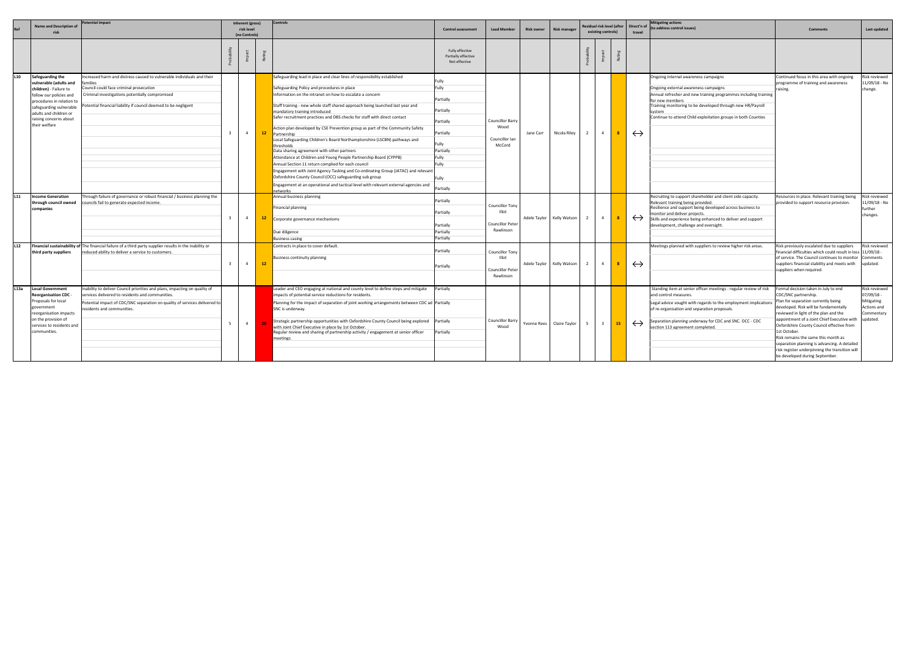|                 | <b>Name and Description of</b><br>risk                                                                                                                                                                                       | otential impact                                                                                                                                                                                                                                     |    | Inherent (gross)<br>risk level<br>(no Controls) |    | <b>Controls</b>                                                                                                                                                                                                                                                                                                                                                                                                                                                                                                                                                                                                                                                                                                                                                                                                                                                                                                                                                                                         | <b>Control assessment</b>                                                                                      | <b>Lead Member</b>                                                             | <b>Risk owner</b> | <b>Risk manager</b>       |                | Residual risk level (after<br>existing controls) |    | Direct'n of<br>travel | <b>Mitigating actions</b><br>(to address control issues)                                                                                                                                                                                                                                                     | <b>Comments</b>                                                                                                                                                                                                                                                                                                                                                                                                                                                                       | Last updated                                                           |
|-----------------|------------------------------------------------------------------------------------------------------------------------------------------------------------------------------------------------------------------------------|-----------------------------------------------------------------------------------------------------------------------------------------------------------------------------------------------------------------------------------------------------|----|-------------------------------------------------|----|---------------------------------------------------------------------------------------------------------------------------------------------------------------------------------------------------------------------------------------------------------------------------------------------------------------------------------------------------------------------------------------------------------------------------------------------------------------------------------------------------------------------------------------------------------------------------------------------------------------------------------------------------------------------------------------------------------------------------------------------------------------------------------------------------------------------------------------------------------------------------------------------------------------------------------------------------------------------------------------------------------|----------------------------------------------------------------------------------------------------------------|--------------------------------------------------------------------------------|-------------------|---------------------------|----------------|--------------------------------------------------|----|-----------------------|--------------------------------------------------------------------------------------------------------------------------------------------------------------------------------------------------------------------------------------------------------------------------------------------------------------|---------------------------------------------------------------------------------------------------------------------------------------------------------------------------------------------------------------------------------------------------------------------------------------------------------------------------------------------------------------------------------------------------------------------------------------------------------------------------------------|------------------------------------------------------------------------|
|                 |                                                                                                                                                                                                                              |                                                                                                                                                                                                                                                     |    |                                                 |    |                                                                                                                                                                                                                                                                                                                                                                                                                                                                                                                                                                                                                                                                                                                                                                                                                                                                                                                                                                                                         | Fully effective<br>Partially effective<br>Not effective                                                        |                                                                                |                   |                           |                |                                                  |    |                       |                                                                                                                                                                                                                                                                                                              |                                                                                                                                                                                                                                                                                                                                                                                                                                                                                       |                                                                        |
| L10             | Safeguarding the<br>vulnerable (adults and<br>children) - Failure to<br>follow our policies and<br>procedures in relation to<br>safeguarding vulnerable<br>adults and children or<br>raising concerns about<br>their welfare | Increased harm and distress caused to vulnerable individuals and their<br>families<br>Council could face criminal prosecution<br>Criminal investigations potentially compromised<br>Potential financial liability if council deemed to be negligent |    | $\frac{4}{ }$                                   | 12 | Safeguarding lead in place and clear lines of responsibility established<br>Safeguarding Policy and procedures in place<br>Information on the intranet on how to escalate a concern<br>Staff training - new whole staff shared approach being launched last year and<br>mandatory training introduced<br>Safer recruitment practices and DBS checks for staff with direct contact<br>Action plan developed by CSE Prevention group as part of the Community Safety<br>Partnership<br>Local Safeguarding Children's Board Northamptonshire (LSCBN) pathways and<br>thresholds<br>Data sharing agreement with other partners<br>Attendance at Children and Young People Partnership Board (CYPPB)<br>Annual Section 11 return complied for each council<br>Engagement with Joint Agency Tasking and Co-ordinating Group (JATAC) and relevan<br>Oxfordshire County Council (OCC) safeguarding sub group<br>Engagement at an operational and tactical level with relevant external agencies and<br>networks | Fully<br>Fully<br>Partially<br>Partially<br>Partially<br>Partially<br>Partially<br>-ully<br>Fully<br>Partially | Councillor Barry<br>Wood<br>Councillor Ian<br>McCord                           | Jane Carr         | Nicola Riley              | $\overline{2}$ | $\overline{4}$                                   |    | $\leftrightarrow$     | Ongoing internal awareness campaigns<br>Ongoing external awareness campaigns<br>Annual refresher and new training programmes including training<br>for new members<br>Training monitoring to be developed through new HR/Payroll<br>Continue to attend Child exploitation groups in both Counties            | Continued focus in this area with ongoing<br>programme of training and awareness<br>raising.                                                                                                                                                                                                                                                                                                                                                                                          | Risk reviewed<br>L1/09/18 - No<br>change.                              |
| L11             | <b>Income Generation</b><br>through council owned<br>companies                                                                                                                                                               | Through failure of governance or robust financial / business planning the<br>councils fail to generate expected income.                                                                                                                             |    | $\overline{4}$                                  | 12 | Annual business planning<br>Financial planning<br>Corporate governance mechanisms<br>Due diligence<br><b>Business casing</b>                                                                                                                                                                                                                                                                                                                                                                                                                                                                                                                                                                                                                                                                                                                                                                                                                                                                            | Partially<br>Partially<br>Partially<br>Partially<br>Partially                                                  | <b>Councillor Tony</b><br>Illot<br><b>Councillor Peter</b><br>Rawlinson        |                   | Adele Taylor Kelly Watson |                | $\overline{4}$                                   |    | $\leftrightarrow$     | Recruiting to support shareholder and client side capacity.<br>Relevant training being provided.<br>Resilience and support being developed across business to<br>monitor and deliver projects.<br>Skills and experience being enhanced to deliver and support<br>development, challenge and oversight.       | Resources in place. Relevant training being<br>provided to support resource provision.                                                                                                                                                                                                                                                                                                                                                                                                | Risk reviewed<br>L1/09/18 - No<br>urther<br>changes.                   |
| L <sub>12</sub> | third party suppliers                                                                                                                                                                                                        | Financial sustainability of The financial failure of a third party supplier results in the inability or<br>reduced ability to deliver a service to customers.                                                                                       |    | $\overline{4}$                                  | 12 | Contracts in place to cover default.<br>Business continuity planning                                                                                                                                                                                                                                                                                                                                                                                                                                                                                                                                                                                                                                                                                                                                                                                                                                                                                                                                    | Partially<br>Partially                                                                                         | <b>Councillor Tony</b><br><b>Illot</b><br><b>Councillor Peter</b><br>Rawlinson |                   | Adele Taylor Kelly Watson | 2              | $\overline{4}$                                   | 8  | $\leftrightarrow$     | Meetings planned with suppliers to review higher risk areas.                                                                                                                                                                                                                                                 | Risk previously escalated due to suppliers<br>financial difficulties which could result in loss 11/09/18 -<br>of service. The Council continues to monitor Comments<br>suppliers financial stability and meets with updated.<br>suppliers when required.                                                                                                                                                                                                                              | Risk reviewed                                                          |
| L13a            | <b>Local Government</b><br><b>Reorganisation CDC -</b><br>Proposals for local<br>government<br>reorganisation impacts<br>on the provision of<br>services to residents and<br>communities.                                    | nability to deliver Council priorities and plans, impacting on quality of<br>services delivered to residents and communities.<br>Potential impact of CDC/SNC separation on quality of services delivered to<br>residents and communities.           | -5 | $4\phantom{0}$                                  |    | Leader and CEO engaging at national and county level to define steps and mitigate<br>impacts of potential service reductions for residents.<br>Planning for the impact of separation of joint working arrangements between CDC ad   Partially<br>SNC is underway.<br>Strategic partnership opportunities with Oxfordshire County Council being explored Partially<br>with Joint Chief Executive in place by 1st October.<br>Regular review and sharing of partnership activity / engagement at senior officer<br>meetings                                                                                                                                                                                                                                                                                                                                                                                                                                                                               | Partially<br>Partially                                                                                         | Councillor Barry<br>Wood                                                       |                   | Yvonne Rees Claire Taylor |                | $\overline{\mathbf{3}}$                          | 15 | $\leftrightarrow$     | Standing item at senior officer meetings - regular review of risk<br>and control measures.<br>Legal advice sought with regards to the employment implications<br>of re-organisation and separation proposals.<br>Separation planning underway for CDC and SNC. OCC - CDC<br>section 113 agreement completed. | Formal decision taken in July to end<br>CDC/SNC partnership.<br>Plan for separation currently being<br>developed. Risk will be fundamentally<br>reviewed in light of the plan and the<br>appointment of a Joint Chief Executive with updated.<br>Oxfordshire County Council effective from<br>1st October.<br>Risk remains the same this month as<br>separation planning is advancing. A detailed<br>risk register underpinning the transition will<br>be developed during September. | Risk reviewed<br>07/09/18 -<br>Mitigating<br>Actions and<br>Commentary |